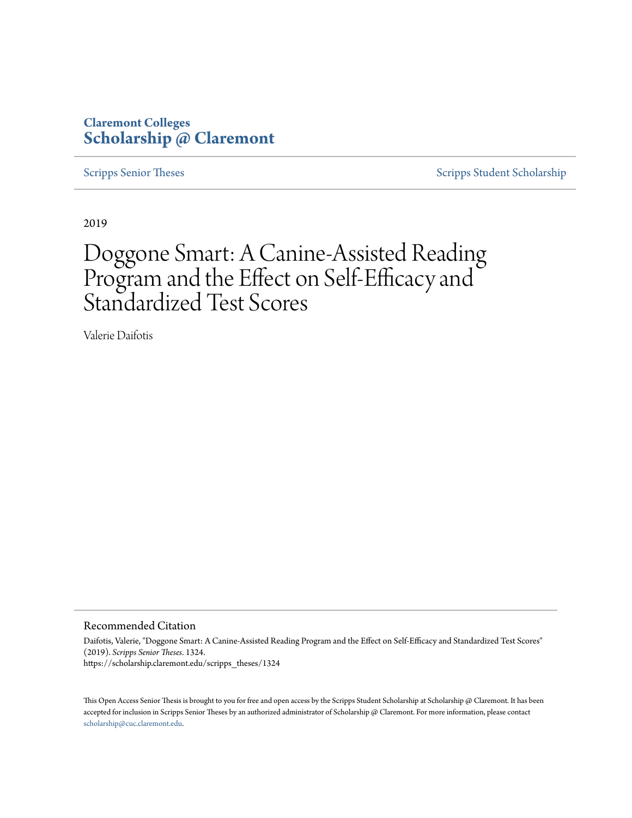# **Claremont Colleges [Scholarship @ Claremont](https://scholarship.claremont.edu)**

[Scripps Senior Theses](https://scholarship.claremont.edu/scripps_theses) [Scripps Student Scholarship](https://scholarship.claremont.edu/scripps_student)

2019

# Doggone Smart: A Canine-Assisted Reading Program and the Effect on Self-Efficacy and Standardized Test Scores

Valerie Daifotis

#### Recommended Citation

Daifotis, Valerie, "Doggone Smart: A Canine-Assisted Reading Program and the Effect on Self-Efficacy and Standardized Test Scores" (2019). *Scripps Senior Theses*. 1324. https://scholarship.claremont.edu/scripps\_theses/1324

This Open Access Senior Thesis is brought to you for free and open access by the Scripps Student Scholarship at Scholarship @ Claremont. It has been accepted for inclusion in Scripps Senior Theses by an authorized administrator of Scholarship @ Claremont. For more information, please contact [scholarship@cuc.claremont.edu.](mailto:scholarship@cuc.claremont.edu)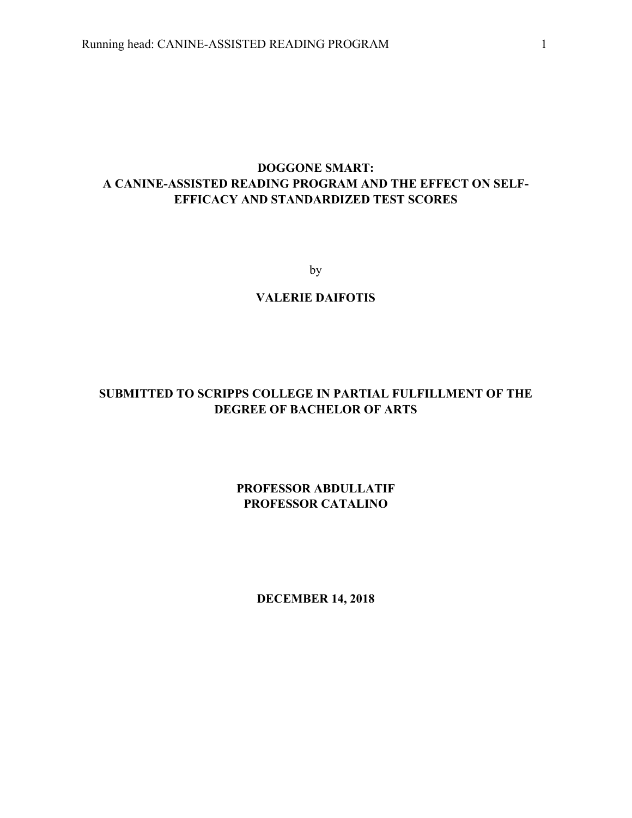# **DOGGONE SMART: A CANINE-ASSISTED READING PROGRAM AND THE EFFECT ON SELF-EFFICACY AND STANDARDIZED TEST SCORES**

by

# **VALERIE DAIFOTIS**

# **SUBMITTED TO SCRIPPS COLLEGE IN PARTIAL FULFILLMENT OF THE DEGREE OF BACHELOR OF ARTS**

# **PROFESSOR ABDULLATIF PROFESSOR CATALINO**

**DECEMBER 14, 2018**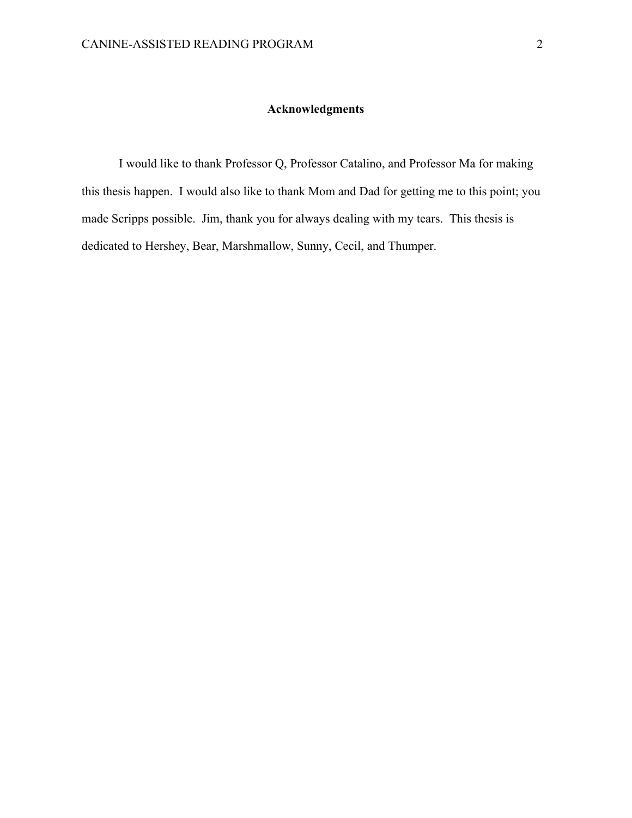# **Acknowledgments**

I would like to thank Professor Q, Professor Catalino, and Professor Ma for making this thesis happen. I would also like to thank Mom and Dad for getting me to this point; you made Scripps possible. Jim, thank you for always dealing with my tears. This thesis is dedicated to Hershey, Bear, Marshmallow, Sunny, Cecil, and Thumper.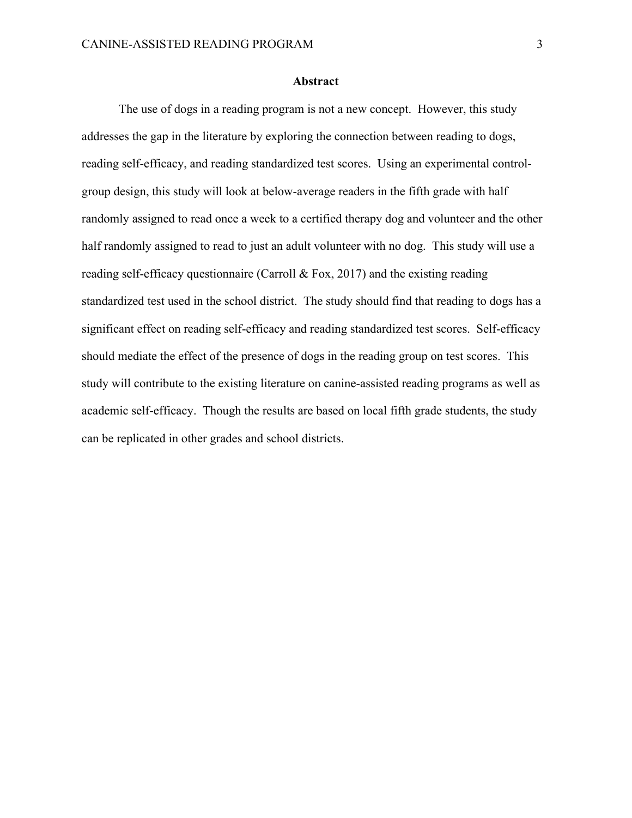#### **Abstract**

The use of dogs in a reading program is not a new concept. However, this study addresses the gap in the literature by exploring the connection between reading to dogs, reading self-efficacy, and reading standardized test scores. Using an experimental controlgroup design, this study will look at below-average readers in the fifth grade with half randomly assigned to read once a week to a certified therapy dog and volunteer and the other half randomly assigned to read to just an adult volunteer with no dog. This study will use a reading self-efficacy questionnaire (Carroll & Fox, 2017) and the existing reading standardized test used in the school district. The study should find that reading to dogs has a significant effect on reading self-efficacy and reading standardized test scores. Self-efficacy should mediate the effect of the presence of dogs in the reading group on test scores. This study will contribute to the existing literature on canine-assisted reading programs as well as academic self-efficacy. Though the results are based on local fifth grade students, the study can be replicated in other grades and school districts.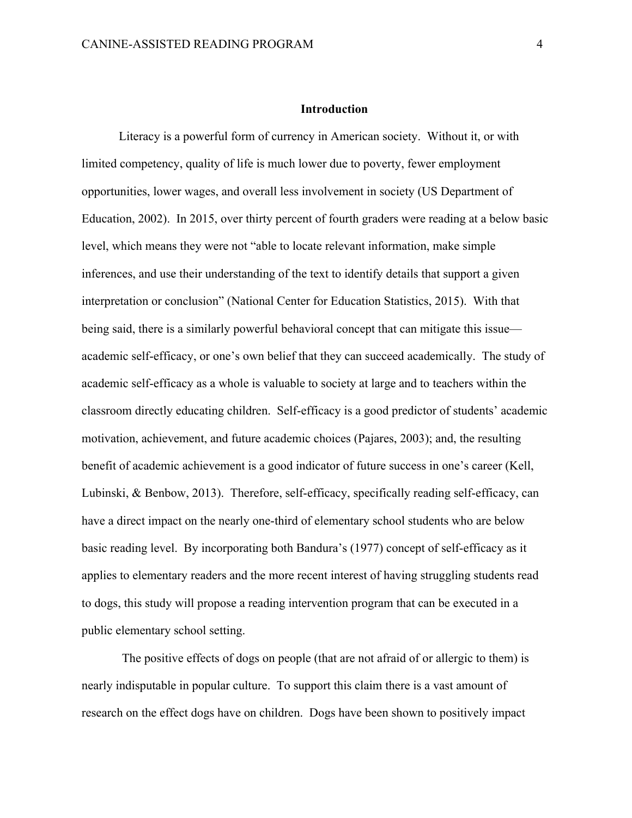#### **Introduction**

Literacy is a powerful form of currency in American society. Without it, or with limited competency, quality of life is much lower due to poverty, fewer employment opportunities, lower wages, and overall less involvement in society (US Department of Education, 2002). In 2015, over thirty percent of fourth graders were reading at a below basic level, which means they were not "able to locate relevant information, make simple inferences, and use their understanding of the text to identify details that support a given interpretation or conclusion" (National Center for Education Statistics, 2015). With that being said, there is a similarly powerful behavioral concept that can mitigate this issue academic self-efficacy, or one's own belief that they can succeed academically. The study of academic self-efficacy as a whole is valuable to society at large and to teachers within the classroom directly educating children. Self-efficacy is a good predictor of students' academic motivation, achievement, and future academic choices (Pajares, 2003); and, the resulting benefit of academic achievement is a good indicator of future success in one's career (Kell, Lubinski, & Benbow, 2013). Therefore, self-efficacy, specifically reading self-efficacy, can have a direct impact on the nearly one-third of elementary school students who are below basic reading level. By incorporating both Bandura's (1977) concept of self-efficacy as it applies to elementary readers and the more recent interest of having struggling students read to dogs, this study will propose a reading intervention program that can be executed in a public elementary school setting.

The positive effects of dogs on people (that are not afraid of or allergic to them) is nearly indisputable in popular culture. To support this claim there is a vast amount of research on the effect dogs have on children. Dogs have been shown to positively impact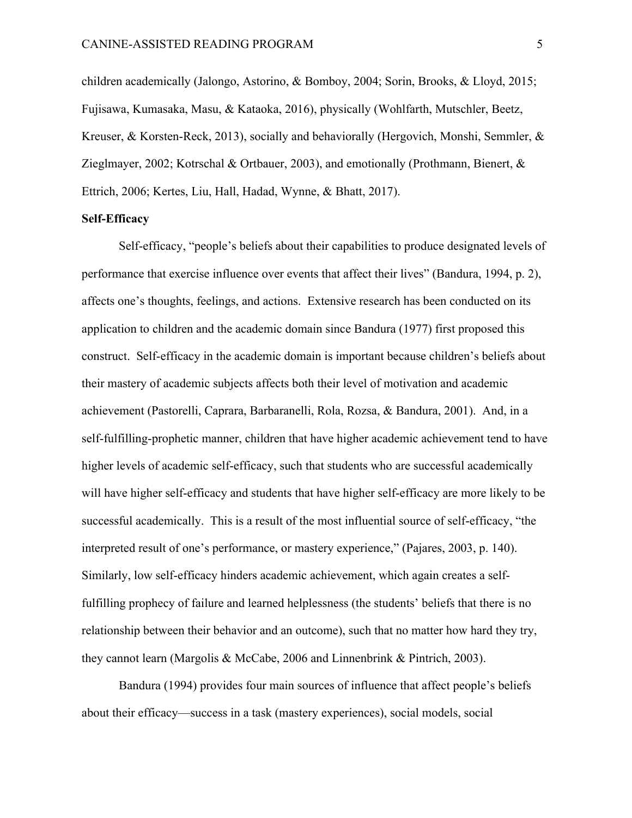children academically (Jalongo, Astorino, & Bomboy, 2004; Sorin, Brooks, & Lloyd, 2015; Fujisawa, Kumasaka, Masu, & Kataoka, 2016), physically (Wohlfarth, Mutschler, Beetz, Kreuser, & Korsten-Reck, 2013), socially and behaviorally (Hergovich, Monshi, Semmler, & Zieglmayer, 2002; Kotrschal & Ortbauer, 2003), and emotionally (Prothmann, Bienert, & Ettrich, 2006; Kertes, Liu, Hall, Hadad, Wynne, & Bhatt, 2017).

#### **Self-Efficacy**

Self-efficacy, "people's beliefs about their capabilities to produce designated levels of performance that exercise influence over events that affect their lives" (Bandura, 1994, p. 2), affects one's thoughts, feelings, and actions. Extensive research has been conducted on its application to children and the academic domain since Bandura (1977) first proposed this construct. Self-efficacy in the academic domain is important because children's beliefs about their mastery of academic subjects affects both their level of motivation and academic achievement (Pastorelli, Caprara, Barbaranelli, Rola, Rozsa, & Bandura, 2001). And, in a self-fulfilling-prophetic manner, children that have higher academic achievement tend to have higher levels of academic self-efficacy, such that students who are successful academically will have higher self-efficacy and students that have higher self-efficacy are more likely to be successful academically. This is a result of the most influential source of self-efficacy, "the interpreted result of one's performance, or mastery experience," (Pajares, 2003, p. 140). Similarly, low self-efficacy hinders academic achievement, which again creates a selffulfilling prophecy of failure and learned helplessness (the students' beliefs that there is no relationship between their behavior and an outcome), such that no matter how hard they try, they cannot learn (Margolis & McCabe, 2006 and Linnenbrink & Pintrich, 2003).

Bandura (1994) provides four main sources of influence that affect people's beliefs about their efficacy—success in a task (mastery experiences), social models, social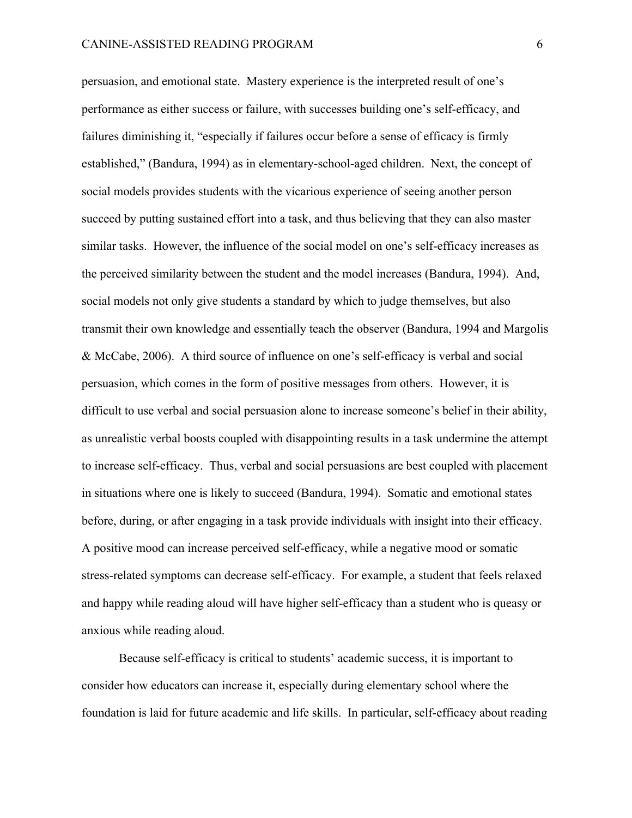persuasion, and emotional state. Mastery experience is the interpreted result of one's performance as either success or failure, with successes building one's self-efficacy, and failures diminishing it, "especially if failures occur before a sense of efficacy is firmly established," (Bandura, 1994) as in elementary-school-aged children. Next, the concept of social models provides students with the vicarious experience of seeing another person succeed by putting sustained effort into a task, and thus believing that they can also master similar tasks. However, the influence of the social model on one's self-efficacy increases as the perceived similarity between the student and the model increases (Bandura, 1994). And, social models not only give students a standard by which to judge themselves, but also transmit their own knowledge and essentially teach the observer (Bandura, 1994 and Margolis & McCabe, 2006). A third source of influence on one's self-efficacy is verbal and social persuasion, which comes in the form of positive messages from others. However, it is difficult to use verbal and social persuasion alone to increase someone's belief in their ability, as unrealistic verbal boosts coupled with disappointing results in a task undermine the attempt to increase self-efficacy. Thus, verbal and social persuasions are best coupled with placement in situations where one is likely to succeed (Bandura, 1994). Somatic and emotional states before, during, or after engaging in a task provide individuals with insight into their efficacy. A positive mood can increase perceived self-efficacy, while a negative mood or somatic stress-related symptoms can decrease self-efficacy. For example, a student that feels relaxed and happy while reading aloud will have higher self-efficacy than a student who is queasy or anxious while reading aloud.

Because self-efficacy is critical to students' academic success, it is important to consider how educators can increase it, especially during elementary school where the foundation is laid for future academic and life skills. In particular, self-efficacy about reading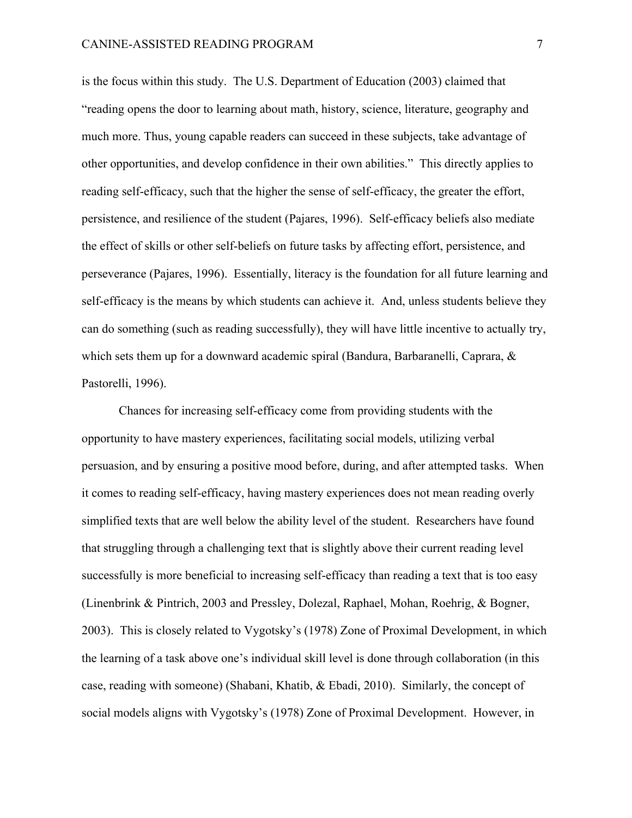is the focus within this study. The U.S. Department of Education (2003) claimed that "reading opens the door to learning about math, history, science, literature, geography and much more. Thus, young capable readers can succeed in these subjects, take advantage of other opportunities, and develop confidence in their own abilities." This directly applies to reading self-efficacy, such that the higher the sense of self-efficacy, the greater the effort, persistence, and resilience of the student (Pajares, 1996). Self-efficacy beliefs also mediate the effect of skills or other self-beliefs on future tasks by affecting effort, persistence, and perseverance (Pajares, 1996). Essentially, literacy is the foundation for all future learning and self-efficacy is the means by which students can achieve it. And, unless students believe they can do something (such as reading successfully), they will have little incentive to actually try, which sets them up for a downward academic spiral (Bandura, Barbaranelli, Caprara, & Pastorelli, 1996).

Chances for increasing self-efficacy come from providing students with the opportunity to have mastery experiences, facilitating social models, utilizing verbal persuasion, and by ensuring a positive mood before, during, and after attempted tasks. When it comes to reading self-efficacy, having mastery experiences does not mean reading overly simplified texts that are well below the ability level of the student. Researchers have found that struggling through a challenging text that is slightly above their current reading level successfully is more beneficial to increasing self-efficacy than reading a text that is too easy (Linenbrink & Pintrich, 2003 and Pressley, Dolezal, Raphael, Mohan, Roehrig, & Bogner, 2003). This is closely related to Vygotsky's (1978) Zone of Proximal Development, in which the learning of a task above one's individual skill level is done through collaboration (in this case, reading with someone) (Shabani, Khatib, & Ebadi, 2010). Similarly, the concept of social models aligns with Vygotsky's (1978) Zone of Proximal Development. However, in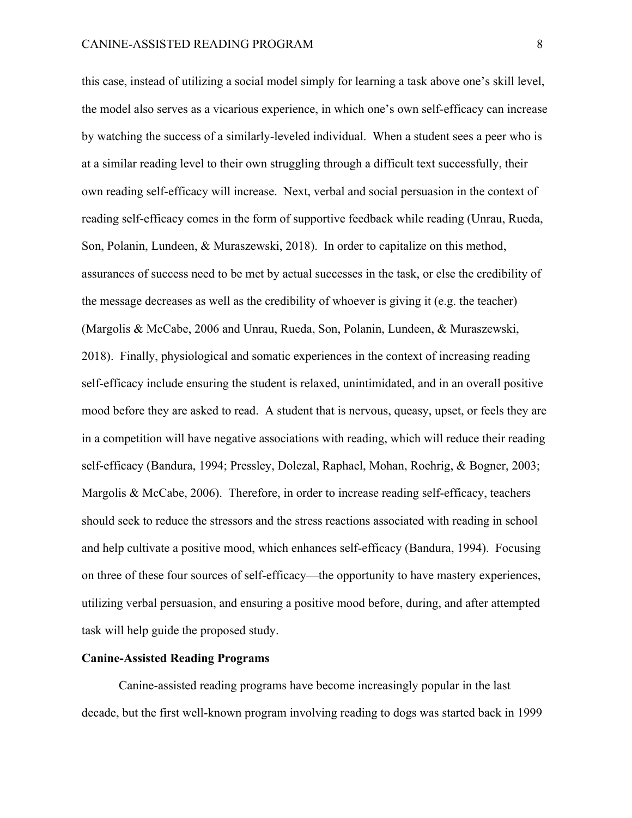this case, instead of utilizing a social model simply for learning a task above one's skill level, the model also serves as a vicarious experience, in which one's own self-efficacy can increase by watching the success of a similarly-leveled individual. When a student sees a peer who is at a similar reading level to their own struggling through a difficult text successfully, their own reading self-efficacy will increase. Next, verbal and social persuasion in the context of reading self-efficacy comes in the form of supportive feedback while reading (Unrau, Rueda, Son, Polanin, Lundeen, & Muraszewski, 2018). In order to capitalize on this method, assurances of success need to be met by actual successes in the task, or else the credibility of the message decreases as well as the credibility of whoever is giving it (e.g. the teacher) (Margolis & McCabe, 2006 and Unrau, Rueda, Son, Polanin, Lundeen, & Muraszewski, 2018). Finally, physiological and somatic experiences in the context of increasing reading self-efficacy include ensuring the student is relaxed, unintimidated, and in an overall positive mood before they are asked to read. A student that is nervous, queasy, upset, or feels they are in a competition will have negative associations with reading, which will reduce their reading self-efficacy (Bandura, 1994; Pressley, Dolezal, Raphael, Mohan, Roehrig, & Bogner, 2003; Margolis & McCabe, 2006). Therefore, in order to increase reading self-efficacy, teachers should seek to reduce the stressors and the stress reactions associated with reading in school and help cultivate a positive mood, which enhances self-efficacy (Bandura, 1994). Focusing on three of these four sources of self-efficacy—the opportunity to have mastery experiences, utilizing verbal persuasion, and ensuring a positive mood before, during, and after attempted task will help guide the proposed study.

#### **Canine-Assisted Reading Programs**

Canine-assisted reading programs have become increasingly popular in the last decade, but the first well-known program involving reading to dogs was started back in 1999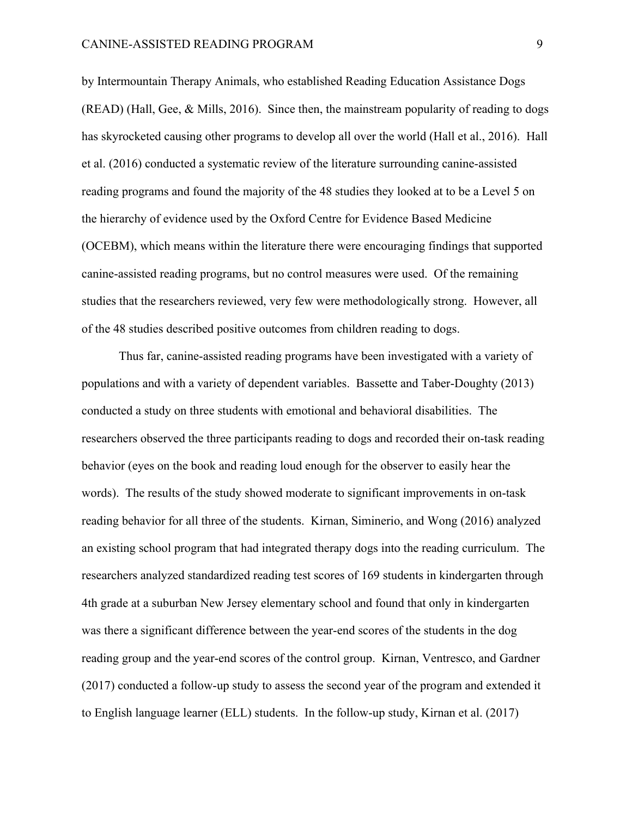by Intermountain Therapy Animals, who established Reading Education Assistance Dogs  $(READ)$  (Hall, Gee, & Mills, 2016). Since then, the mainstream popularity of reading to dogs has skyrocketed causing other programs to develop all over the world (Hall et al., 2016). Hall et al. (2016) conducted a systematic review of the literature surrounding canine-assisted reading programs and found the majority of the 48 studies they looked at to be a Level 5 on the hierarchy of evidence used by the Oxford Centre for Evidence Based Medicine (OCEBM), which means within the literature there were encouraging findings that supported canine-assisted reading programs, but no control measures were used. Of the remaining studies that the researchers reviewed, very few were methodologically strong. However, all of the 48 studies described positive outcomes from children reading to dogs.

Thus far, canine-assisted reading programs have been investigated with a variety of populations and with a variety of dependent variables. Bassette and Taber-Doughty (2013) conducted a study on three students with emotional and behavioral disabilities. The researchers observed the three participants reading to dogs and recorded their on-task reading behavior (eyes on the book and reading loud enough for the observer to easily hear the words). The results of the study showed moderate to significant improvements in on-task reading behavior for all three of the students. Kirnan, Siminerio, and Wong (2016) analyzed an existing school program that had integrated therapy dogs into the reading curriculum. The researchers analyzed standardized reading test scores of 169 students in kindergarten through 4th grade at a suburban New Jersey elementary school and found that only in kindergarten was there a significant difference between the year-end scores of the students in the dog reading group and the year-end scores of the control group. Kirnan, Ventresco, and Gardner (2017) conducted a follow-up study to assess the second year of the program and extended it to English language learner (ELL) students. In the follow-up study, Kirnan et al. (2017)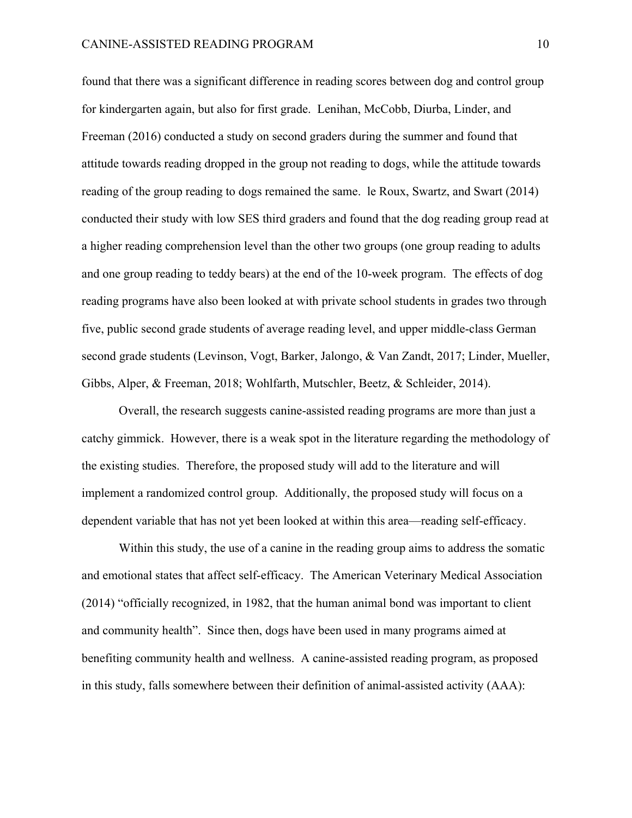found that there was a significant difference in reading scores between dog and control group for kindergarten again, but also for first grade. Lenihan, McCobb, Diurba, Linder, and Freeman (2016) conducted a study on second graders during the summer and found that attitude towards reading dropped in the group not reading to dogs, while the attitude towards reading of the group reading to dogs remained the same. le Roux, Swartz, and Swart (2014) conducted their study with low SES third graders and found that the dog reading group read at a higher reading comprehension level than the other two groups (one group reading to adults and one group reading to teddy bears) at the end of the 10-week program. The effects of dog reading programs have also been looked at with private school students in grades two through five, public second grade students of average reading level, and upper middle-class German second grade students (Levinson, Vogt, Barker, Jalongo, & Van Zandt, 2017; Linder, Mueller, Gibbs, Alper, & Freeman, 2018; Wohlfarth, Mutschler, Beetz, & Schleider, 2014).

Overall, the research suggests canine-assisted reading programs are more than just a catchy gimmick. However, there is a weak spot in the literature regarding the methodology of the existing studies. Therefore, the proposed study will add to the literature and will implement a randomized control group. Additionally, the proposed study will focus on a dependent variable that has not yet been looked at within this area—reading self-efficacy.

Within this study, the use of a canine in the reading group aims to address the somatic and emotional states that affect self-efficacy. The American Veterinary Medical Association (2014) "officially recognized, in 1982, that the human animal bond was important to client and community health". Since then, dogs have been used in many programs aimed at benefiting community health and wellness. A canine-assisted reading program, as proposed in this study, falls somewhere between their definition of animal-assisted activity (AAA):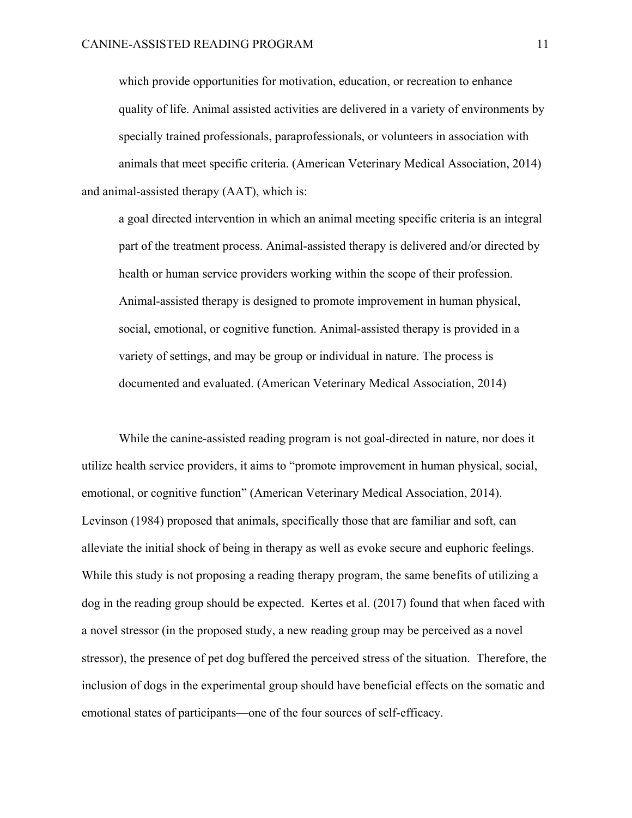which provide opportunities for motivation, education, or recreation to enhance quality of life. Animal assisted activities are delivered in a variety of environments by specially trained professionals, paraprofessionals, or volunteers in association with animals that meet specific criteria. (American Veterinary Medical Association, 2014) and animal-assisted therapy (AAT), which is:

a goal directed intervention in which an animal meeting specific criteria is an integral part of the treatment process. Animal-assisted therapy is delivered and/or directed by health or human service providers working within the scope of their profession. Animal-assisted therapy is designed to promote improvement in human physical, social, emotional, or cognitive function. Animal-assisted therapy is provided in a variety of settings, and may be group or individual in nature. The process is documented and evaluated. (American Veterinary Medical Association, 2014)

While the canine-assisted reading program is not goal-directed in nature, nor does it utilize health service providers, it aims to "promote improvement in human physical, social, emotional, or cognitive function" (American Veterinary Medical Association, 2014). Levinson (1984) proposed that animals, specifically those that are familiar and soft, can alleviate the initial shock of being in therapy as well as evoke secure and euphoric feelings. While this study is not proposing a reading therapy program, the same benefits of utilizing a dog in the reading group should be expected. Kertes et al. (2017) found that when faced with a novel stressor (in the proposed study, a new reading group may be perceived as a novel stressor), the presence of pet dog buffered the perceived stress of the situation. Therefore, the inclusion of dogs in the experimental group should have beneficial effects on the somatic and emotional states of participants—one of the four sources of self-efficacy.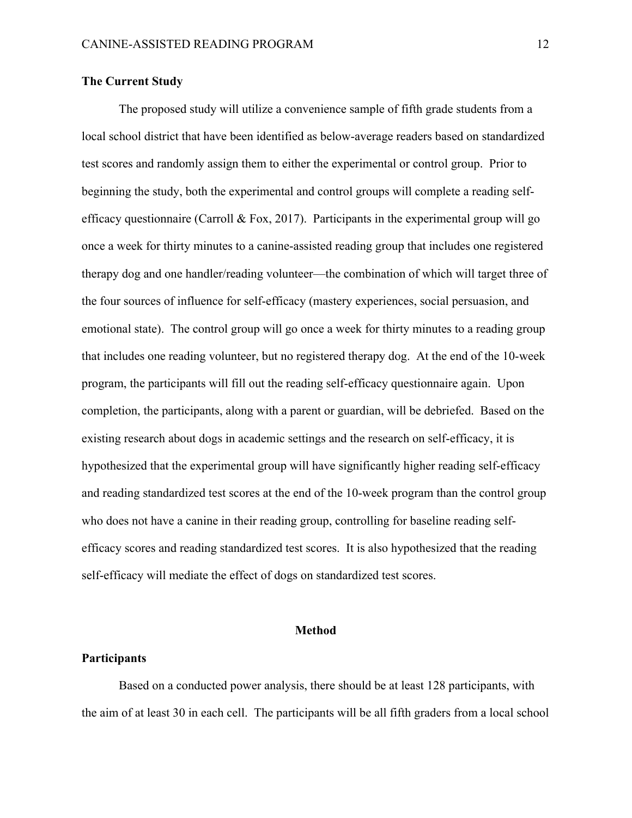## **The Current Study**

The proposed study will utilize a convenience sample of fifth grade students from a local school district that have been identified as below-average readers based on standardized test scores and randomly assign them to either the experimental or control group. Prior to beginning the study, both the experimental and control groups will complete a reading selfefficacy questionnaire (Carroll & Fox, 2017). Participants in the experimental group will go once a week for thirty minutes to a canine-assisted reading group that includes one registered therapy dog and one handler/reading volunteer—the combination of which will target three of the four sources of influence for self-efficacy (mastery experiences, social persuasion, and emotional state). The control group will go once a week for thirty minutes to a reading group that includes one reading volunteer, but no registered therapy dog. At the end of the 10-week program, the participants will fill out the reading self-efficacy questionnaire again. Upon completion, the participants, along with a parent or guardian, will be debriefed. Based on the existing research about dogs in academic settings and the research on self-efficacy, it is hypothesized that the experimental group will have significantly higher reading self-efficacy and reading standardized test scores at the end of the 10-week program than the control group who does not have a canine in their reading group, controlling for baseline reading selfefficacy scores and reading standardized test scores. It is also hypothesized that the reading self-efficacy will mediate the effect of dogs on standardized test scores.

#### **Method**

## **Participants**

Based on a conducted power analysis, there should be at least 128 participants, with the aim of at least 30 in each cell. The participants will be all fifth graders from a local school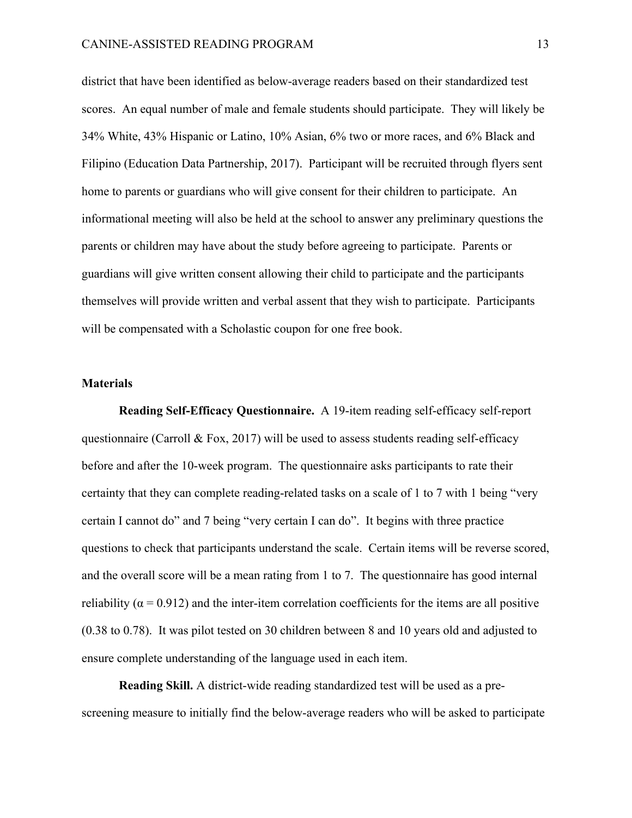district that have been identified as below-average readers based on their standardized test scores. An equal number of male and female students should participate. They will likely be 34% White, 43% Hispanic or Latino, 10% Asian, 6% two or more races, and 6% Black and Filipino (Education Data Partnership, 2017). Participant will be recruited through flyers sent home to parents or guardians who will give consent for their children to participate. An informational meeting will also be held at the school to answer any preliminary questions the parents or children may have about the study before agreeing to participate. Parents or guardians will give written consent allowing their child to participate and the participants themselves will provide written and verbal assent that they wish to participate. Participants will be compensated with a Scholastic coupon for one free book.

## **Materials**

**Reading Self-Efficacy Questionnaire.** A 19-item reading self-efficacy self-report questionnaire (Carroll  $\&$  Fox, 2017) will be used to assess students reading self-efficacy before and after the 10-week program. The questionnaire asks participants to rate their certainty that they can complete reading-related tasks on a scale of 1 to 7 with 1 being "very certain I cannot do" and 7 being "very certain I can do". It begins with three practice questions to check that participants understand the scale. Certain items will be reverse scored, and the overall score will be a mean rating from 1 to 7. The questionnaire has good internal reliability ( $\alpha$  = 0.912) and the inter-item correlation coefficients for the items are all positive (0.38 to 0.78). It was pilot tested on 30 children between 8 and 10 years old and adjusted to ensure complete understanding of the language used in each item.

**Reading Skill.** A district-wide reading standardized test will be used as a prescreening measure to initially find the below-average readers who will be asked to participate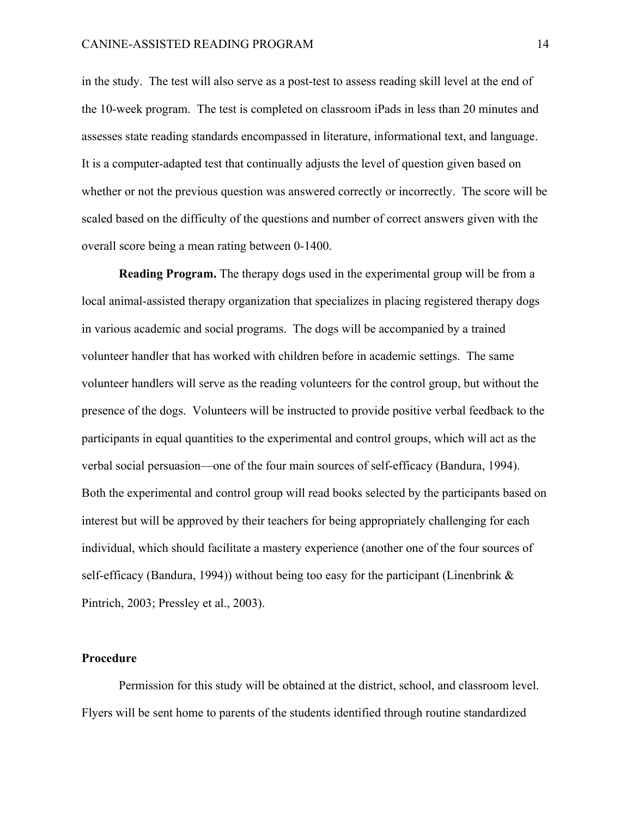in the study. The test will also serve as a post-test to assess reading skill level at the end of the 10-week program. The test is completed on classroom iPads in less than 20 minutes and assesses state reading standards encompassed in literature, informational text, and language. It is a computer-adapted test that continually adjusts the level of question given based on whether or not the previous question was answered correctly or incorrectly. The score will be scaled based on the difficulty of the questions and number of correct answers given with the overall score being a mean rating between 0-1400.

**Reading Program.** The therapy dogs used in the experimental group will be from a local animal-assisted therapy organization that specializes in placing registered therapy dogs in various academic and social programs. The dogs will be accompanied by a trained volunteer handler that has worked with children before in academic settings. The same volunteer handlers will serve as the reading volunteers for the control group, but without the presence of the dogs. Volunteers will be instructed to provide positive verbal feedback to the participants in equal quantities to the experimental and control groups, which will act as the verbal social persuasion—one of the four main sources of self-efficacy (Bandura, 1994). Both the experimental and control group will read books selected by the participants based on interest but will be approved by their teachers for being appropriately challenging for each individual, which should facilitate a mastery experience (another one of the four sources of self-efficacy (Bandura, 1994)) without being too easy for the participant (Linenbrink  $\&$ Pintrich, 2003; Pressley et al., 2003).

## **Procedure**

Permission for this study will be obtained at the district, school, and classroom level. Flyers will be sent home to parents of the students identified through routine standardized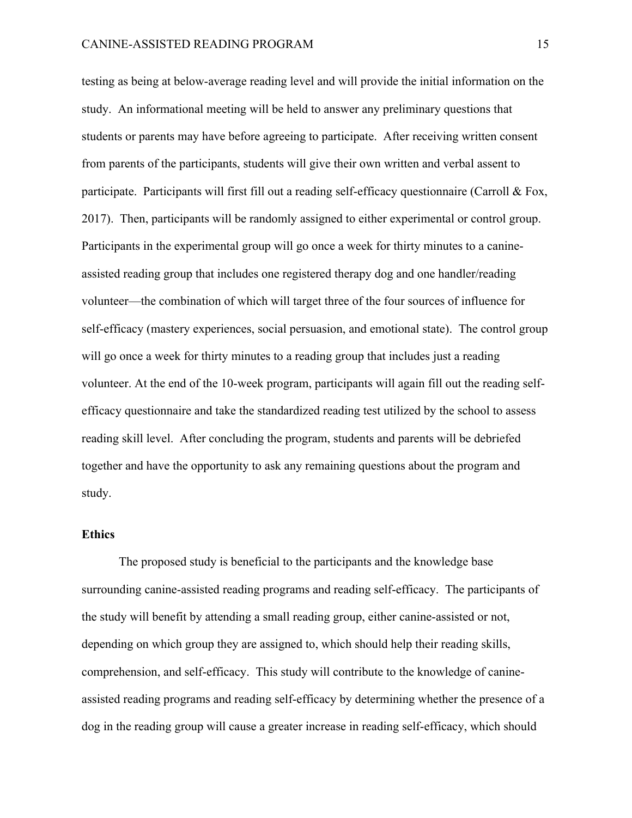testing as being at below-average reading level and will provide the initial information on the study. An informational meeting will be held to answer any preliminary questions that students or parents may have before agreeing to participate. After receiving written consent from parents of the participants, students will give their own written and verbal assent to participate. Participants will first fill out a reading self-efficacy questionnaire (Carroll & Fox, 2017). Then, participants will be randomly assigned to either experimental or control group. Participants in the experimental group will go once a week for thirty minutes to a canineassisted reading group that includes one registered therapy dog and one handler/reading volunteer—the combination of which will target three of the four sources of influence for self-efficacy (mastery experiences, social persuasion, and emotional state). The control group will go once a week for thirty minutes to a reading group that includes just a reading volunteer. At the end of the 10-week program, participants will again fill out the reading selfefficacy questionnaire and take the standardized reading test utilized by the school to assess reading skill level. After concluding the program, students and parents will be debriefed together and have the opportunity to ask any remaining questions about the program and study.

## **Ethics**

The proposed study is beneficial to the participants and the knowledge base surrounding canine-assisted reading programs and reading self-efficacy. The participants of the study will benefit by attending a small reading group, either canine-assisted or not, depending on which group they are assigned to, which should help their reading skills, comprehension, and self-efficacy. This study will contribute to the knowledge of canineassisted reading programs and reading self-efficacy by determining whether the presence of a dog in the reading group will cause a greater increase in reading self-efficacy, which should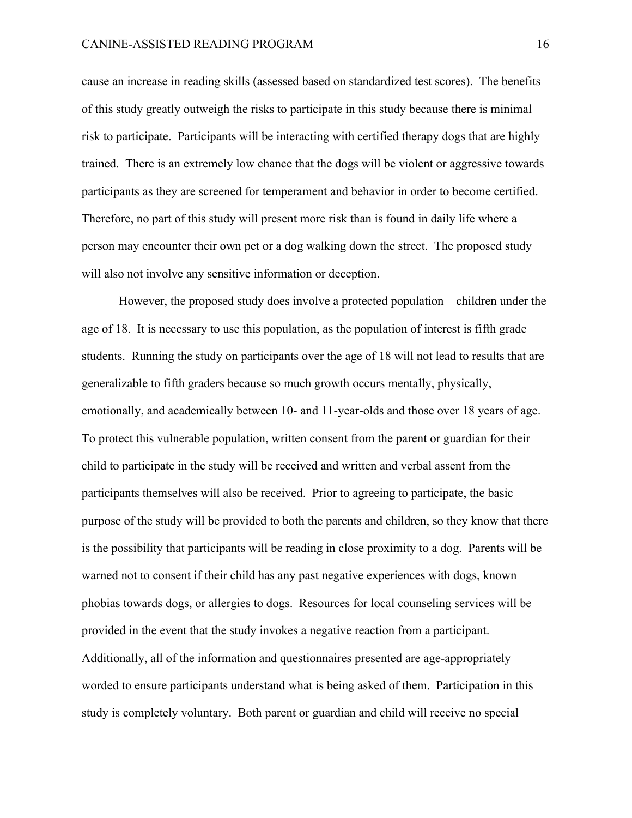cause an increase in reading skills (assessed based on standardized test scores). The benefits of this study greatly outweigh the risks to participate in this study because there is minimal risk to participate. Participants will be interacting with certified therapy dogs that are highly trained. There is an extremely low chance that the dogs will be violent or aggressive towards participants as they are screened for temperament and behavior in order to become certified. Therefore, no part of this study will present more risk than is found in daily life where a person may encounter their own pet or a dog walking down the street. The proposed study will also not involve any sensitive information or deception.

However, the proposed study does involve a protected population—children under the age of 18. It is necessary to use this population, as the population of interest is fifth grade students. Running the study on participants over the age of 18 will not lead to results that are generalizable to fifth graders because so much growth occurs mentally, physically, emotionally, and academically between 10- and 11-year-olds and those over 18 years of age. To protect this vulnerable population, written consent from the parent or guardian for their child to participate in the study will be received and written and verbal assent from the participants themselves will also be received. Prior to agreeing to participate, the basic purpose of the study will be provided to both the parents and children, so they know that there is the possibility that participants will be reading in close proximity to a dog. Parents will be warned not to consent if their child has any past negative experiences with dogs, known phobias towards dogs, or allergies to dogs. Resources for local counseling services will be provided in the event that the study invokes a negative reaction from a participant. Additionally, all of the information and questionnaires presented are age-appropriately worded to ensure participants understand what is being asked of them. Participation in this study is completely voluntary. Both parent or guardian and child will receive no special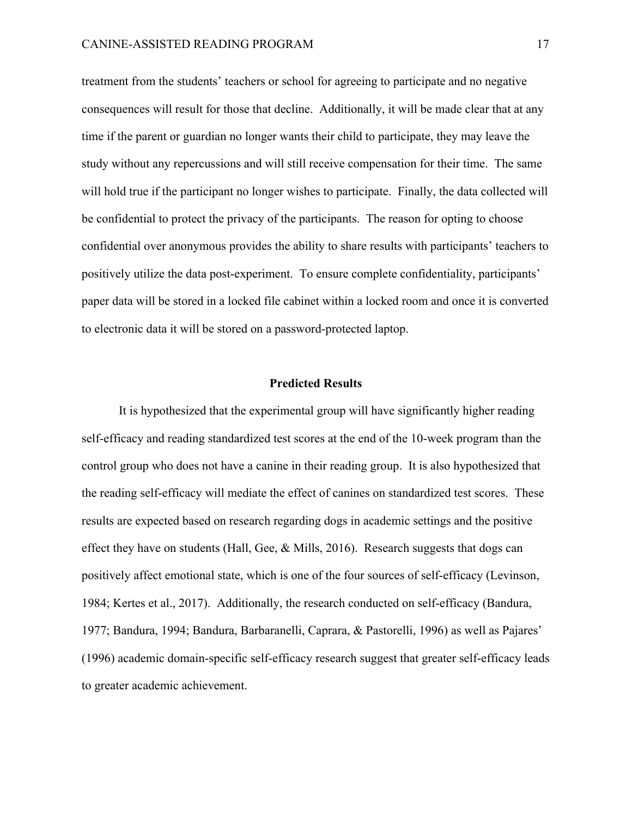treatment from the students' teachers or school for agreeing to participate and no negative consequences will result for those that decline. Additionally, it will be made clear that at any time if the parent or guardian no longer wants their child to participate, they may leave the study without any repercussions and will still receive compensation for their time. The same will hold true if the participant no longer wishes to participate. Finally, the data collected will be confidential to protect the privacy of the participants. The reason for opting to choose confidential over anonymous provides the ability to share results with participants' teachers to positively utilize the data post-experiment. To ensure complete confidentiality, participants' paper data will be stored in a locked file cabinet within a locked room and once it is converted to electronic data it will be stored on a password-protected laptop.

#### **Predicted Results**

It is hypothesized that the experimental group will have significantly higher reading self-efficacy and reading standardized test scores at the end of the 10-week program than the control group who does not have a canine in their reading group. It is also hypothesized that the reading self-efficacy will mediate the effect of canines on standardized test scores. These results are expected based on research regarding dogs in academic settings and the positive effect they have on students (Hall, Gee, & Mills, 2016). Research suggests that dogs can positively affect emotional state, which is one of the four sources of self-efficacy (Levinson, 1984; Kertes et al., 2017). Additionally, the research conducted on self-efficacy (Bandura, 1977; Bandura, 1994; Bandura, Barbaranelli, Caprara, & Pastorelli, 1996) as well as Pajares' (1996) academic domain-specific self-efficacy research suggest that greater self-efficacy leads to greater academic achievement.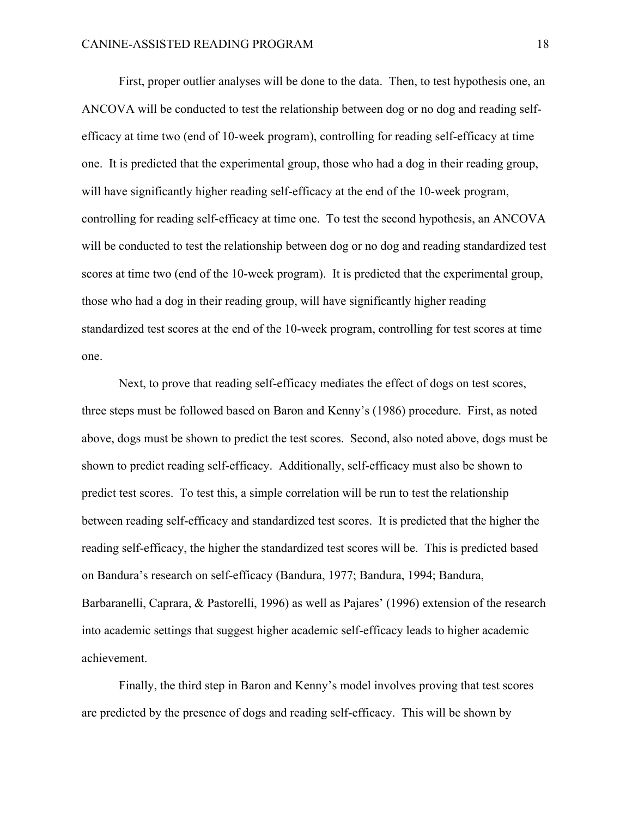First, proper outlier analyses will be done to the data. Then, to test hypothesis one, an ANCOVA will be conducted to test the relationship between dog or no dog and reading selfefficacy at time two (end of 10-week program), controlling for reading self-efficacy at time one. It is predicted that the experimental group, those who had a dog in their reading group, will have significantly higher reading self-efficacy at the end of the 10-week program, controlling for reading self-efficacy at time one. To test the second hypothesis, an ANCOVA will be conducted to test the relationship between dog or no dog and reading standardized test scores at time two (end of the 10-week program). It is predicted that the experimental group, those who had a dog in their reading group, will have significantly higher reading standardized test scores at the end of the 10-week program, controlling for test scores at time one.

Next, to prove that reading self-efficacy mediates the effect of dogs on test scores, three steps must be followed based on Baron and Kenny's (1986) procedure. First, as noted above, dogs must be shown to predict the test scores. Second, also noted above, dogs must be shown to predict reading self-efficacy. Additionally, self-efficacy must also be shown to predict test scores. To test this, a simple correlation will be run to test the relationship between reading self-efficacy and standardized test scores. It is predicted that the higher the reading self-efficacy, the higher the standardized test scores will be. This is predicted based on Bandura's research on self-efficacy (Bandura, 1977; Bandura, 1994; Bandura, Barbaranelli, Caprara, & Pastorelli, 1996) as well as Pajares' (1996) extension of the research into academic settings that suggest higher academic self-efficacy leads to higher academic achievement.

Finally, the third step in Baron and Kenny's model involves proving that test scores are predicted by the presence of dogs and reading self-efficacy. This will be shown by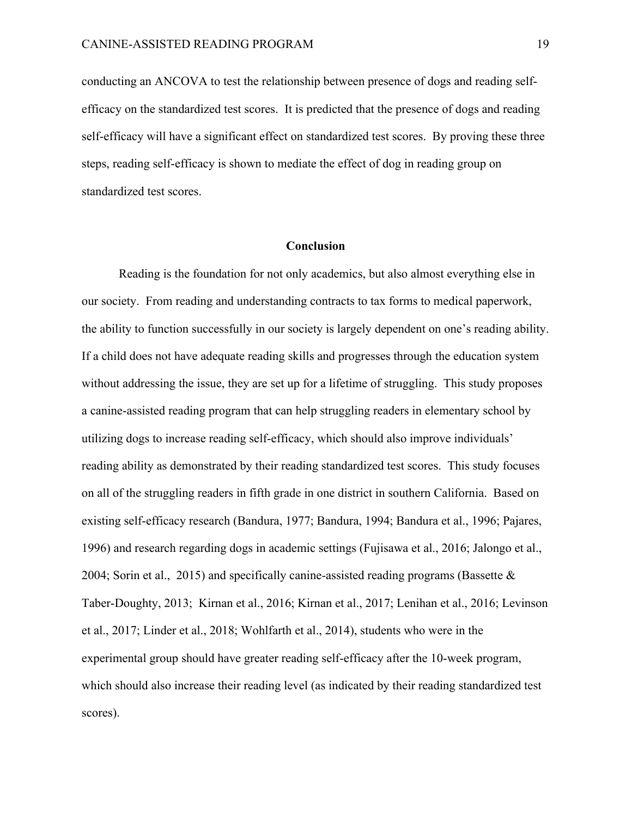conducting an ANCOVA to test the relationship between presence of dogs and reading selfefficacy on the standardized test scores. It is predicted that the presence of dogs and reading self-efficacy will have a significant effect on standardized test scores. By proving these three steps, reading self-efficacy is shown to mediate the effect of dog in reading group on standardized test scores.

## **Conclusion**

Reading is the foundation for not only academics, but also almost everything else in our society. From reading and understanding contracts to tax forms to medical paperwork, the ability to function successfully in our society is largely dependent on one's reading ability. If a child does not have adequate reading skills and progresses through the education system without addressing the issue, they are set up for a lifetime of struggling. This study proposes a canine-assisted reading program that can help struggling readers in elementary school by utilizing dogs to increase reading self-efficacy, which should also improve individuals' reading ability as demonstrated by their reading standardized test scores. This study focuses on all of the struggling readers in fifth grade in one district in southern California. Based on existing self-efficacy research (Bandura, 1977; Bandura, 1994; Bandura et al., 1996; Pajares, 1996) and research regarding dogs in academic settings (Fujisawa et al., 2016; Jalongo et al., 2004; Sorin et al., 2015) and specifically canine-assisted reading programs (Bassette & Taber-Doughty, 2013; Kirnan et al., 2016; Kirnan et al., 2017; Lenihan et al., 2016; Levinson et al., 2017; Linder et al., 2018; Wohlfarth et al., 2014), students who were in the experimental group should have greater reading self-efficacy after the 10-week program, which should also increase their reading level (as indicated by their reading standardized test scores).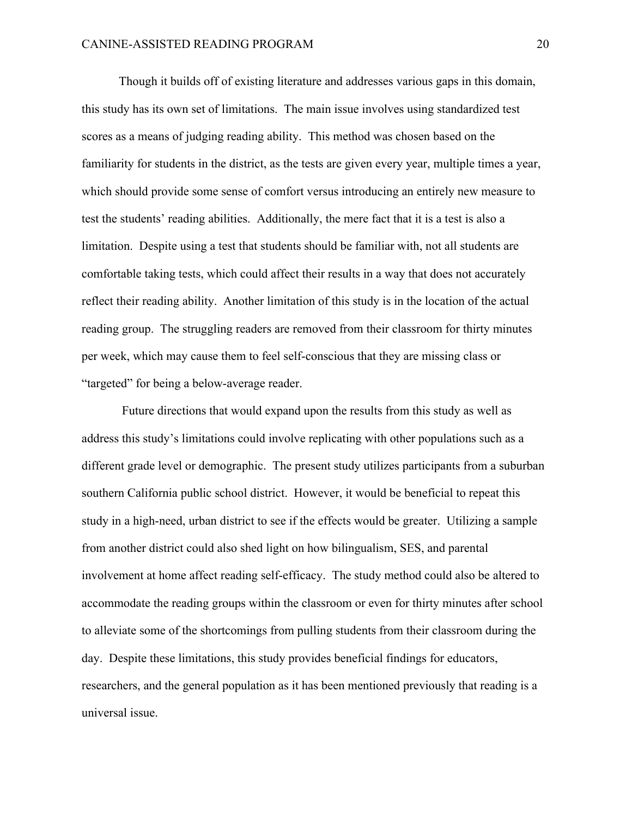Though it builds off of existing literature and addresses various gaps in this domain, this study has its own set of limitations. The main issue involves using standardized test scores as a means of judging reading ability. This method was chosen based on the familiarity for students in the district, as the tests are given every year, multiple times a year, which should provide some sense of comfort versus introducing an entirely new measure to test the students' reading abilities. Additionally, the mere fact that it is a test is also a limitation. Despite using a test that students should be familiar with, not all students are comfortable taking tests, which could affect their results in a way that does not accurately reflect their reading ability. Another limitation of this study is in the location of the actual reading group. The struggling readers are removed from their classroom for thirty minutes per week, which may cause them to feel self-conscious that they are missing class or "targeted" for being a below-average reader.

Future directions that would expand upon the results from this study as well as address this study's limitations could involve replicating with other populations such as a different grade level or demographic. The present study utilizes participants from a suburban southern California public school district. However, it would be beneficial to repeat this study in a high-need, urban district to see if the effects would be greater. Utilizing a sample from another district could also shed light on how bilingualism, SES, and parental involvement at home affect reading self-efficacy. The study method could also be altered to accommodate the reading groups within the classroom or even for thirty minutes after school to alleviate some of the shortcomings from pulling students from their classroom during the day. Despite these limitations, this study provides beneficial findings for educators, researchers, and the general population as it has been mentioned previously that reading is a universal issue.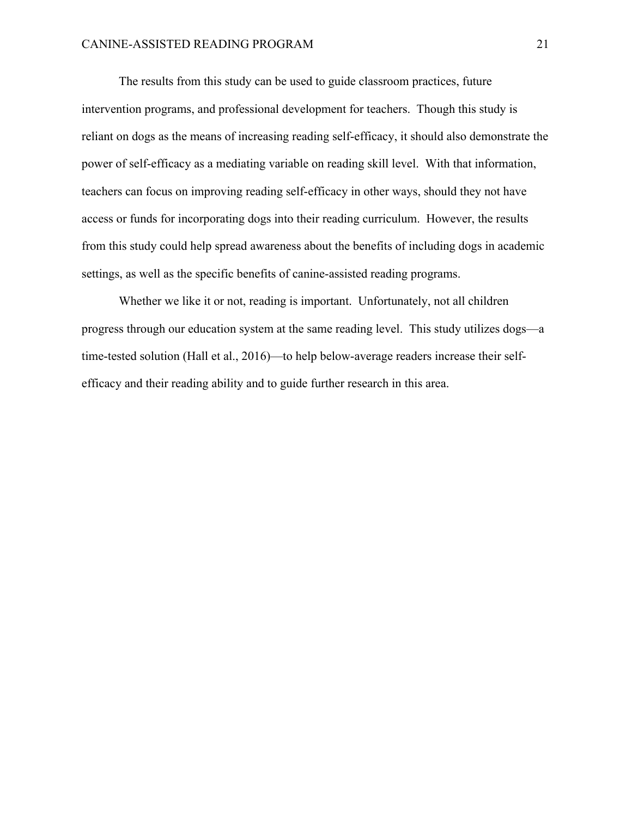The results from this study can be used to guide classroom practices, future intervention programs, and professional development for teachers. Though this study is reliant on dogs as the means of increasing reading self-efficacy, it should also demonstrate the power of self-efficacy as a mediating variable on reading skill level. With that information, teachers can focus on improving reading self-efficacy in other ways, should they not have access or funds for incorporating dogs into their reading curriculum. However, the results from this study could help spread awareness about the benefits of including dogs in academic settings, as well as the specific benefits of canine-assisted reading programs.

Whether we like it or not, reading is important. Unfortunately, not all children progress through our education system at the same reading level. This study utilizes dogs—a time-tested solution (Hall et al., 2016)—to help below-average readers increase their selfefficacy and their reading ability and to guide further research in this area.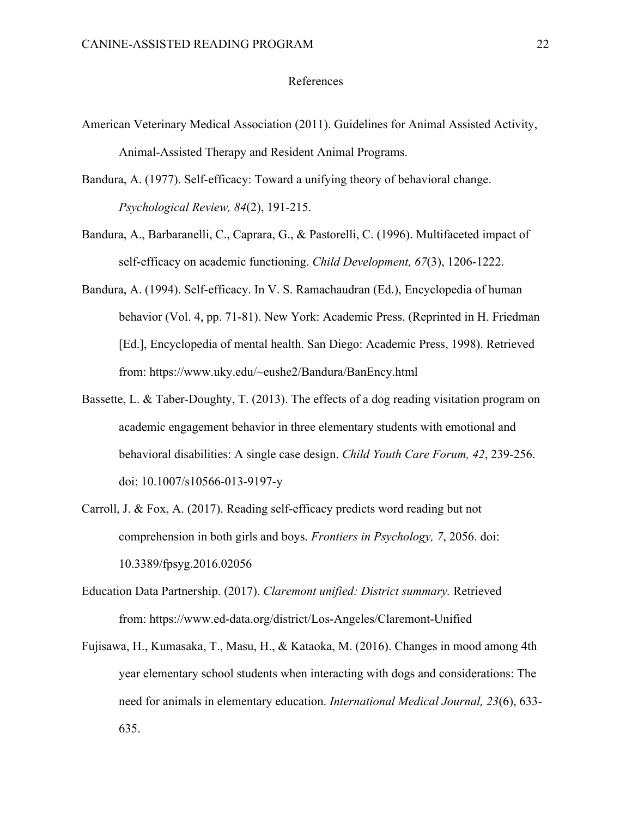#### References

- American Veterinary Medical Association (2011). Guidelines for Animal Assisted Activity, Animal-Assisted Therapy and Resident Animal Programs.
- Bandura, A. (1977). Self-efficacy: Toward a unifying theory of behavioral change. *Psychological Review, 84*(2), 191-215.
- Bandura, A., Barbaranelli, C., Caprara, G., & Pastorelli, C. (1996). Multifaceted impact of self-efficacy on academic functioning. *Child Development, 67*(3), 1206-1222.
- Bandura, A. (1994). Self-efficacy. In V. S. Ramachaudran (Ed.), Encyclopedia of human behavior (Vol. 4, pp. 71-81). New York: Academic Press. (Reprinted in H. Friedman [Ed.], Encyclopedia of mental health. San Diego: Academic Press, 1998). Retrieved from: https://www.uky.edu/~eushe2/Bandura/BanEncy.html
- Bassette, L. & Taber-Doughty, T. (2013). The effects of a dog reading visitation program on academic engagement behavior in three elementary students with emotional and behavioral disabilities: A single case design. *Child Youth Care Forum, 42*, 239-256. doi: 10.1007/s10566-013-9197-y
- Carroll, J. & Fox, A. (2017). Reading self-efficacy predicts word reading but not comprehension in both girls and boys. *Frontiers in Psychology, 7*, 2056. doi: 10.3389/fpsyg.2016.02056
- Education Data Partnership. (2017). *Claremont unified: District summary.* Retrieved from: https://www.ed-data.org/district/Los-Angeles/Claremont-Unified
- Fujisawa, H., Kumasaka, T., Masu, H., & Kataoka, M. (2016). Changes in mood among 4th year elementary school students when interacting with dogs and considerations: The need for animals in elementary education. *International Medical Journal, 23*(6), 633- 635.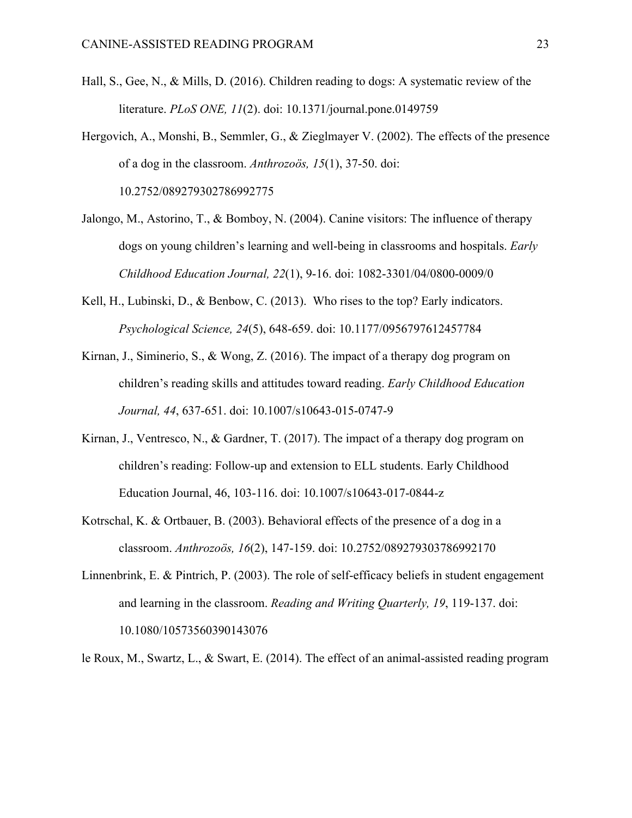- Hall, S., Gee, N., & Mills, D. (2016). Children reading to dogs: A systematic review of the literature. *PLoS ONE, 11*(2). doi: 10.1371/journal.pone.0149759
- Hergovich, A., Monshi, B., Semmler, G., & Zieglmayer V. (2002). The effects of the presence of a dog in the classroom. *Anthrozoös, 15*(1), 37-50. doi: 10.2752/089279302786992775
- Jalongo, M., Astorino, T., & Bomboy, N. (2004). Canine visitors: The influence of therapy dogs on young children's learning and well-being in classrooms and hospitals. *Early Childhood Education Journal, 22*(1), 9-16. doi: 1082-3301/04/0800-0009/0
- Kell, H., Lubinski, D., & Benbow, C. (2013). Who rises to the top? Early indicators. *Psychological Science, 24*(5), 648-659. doi: 10.1177/0956797612457784
- Kirnan, J., Siminerio, S., & Wong, Z. (2016). The impact of a therapy dog program on children's reading skills and attitudes toward reading. *Early Childhood Education Journal, 44*, 637-651. doi: 10.1007/s10643-015-0747-9
- Kirnan, J., Ventresco, N., & Gardner, T. (2017). The impact of a therapy dog program on children's reading: Follow-up and extension to ELL students. Early Childhood Education Journal, 46, 103-116. doi: 10.1007/s10643-017-0844-z
- Kotrschal, K. & Ortbauer, B. (2003). Behavioral effects of the presence of a dog in a classroom. *Anthrozoös, 16*(2), 147-159. doi: 10.2752/089279303786992170
- Linnenbrink, E. & Pintrich, P. (2003). The role of self-efficacy beliefs in student engagement and learning in the classroom. *Reading and Writing Quarterly, 19*, 119-137. doi: 10.1080/10573560390143076

le Roux, M., Swartz, L., & Swart, E. (2014). The effect of an animal-assisted reading program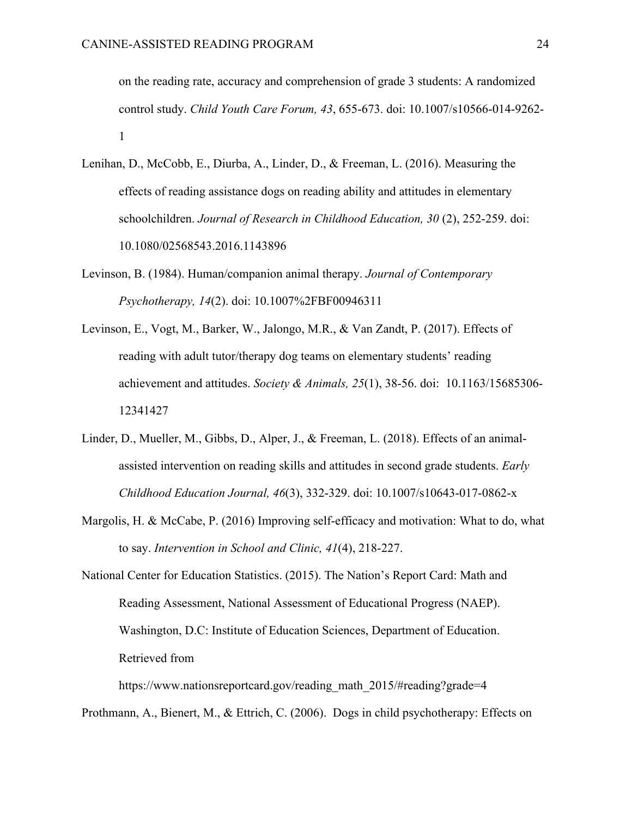on the reading rate, accuracy and comprehension of grade 3 students: A randomized control study. *Child Youth Care Forum, 43*, 655-673. doi: 10.1007/s10566-014-9262- 1

- Lenihan, D., McCobb, E., Diurba, A., Linder, D., & Freeman, L. (2016). Measuring the effects of reading assistance dogs on reading ability and attitudes in elementary schoolchildren. *Journal of Research in Childhood Education, 30* (2), 252-259. doi: 10.1080/02568543.2016.1143896
- Levinson, B. (1984). Human/companion animal therapy. *Journal of Contemporary Psychotherapy, 14*(2). doi: 10.1007%2FBF00946311
- Levinson, E., Vogt, M., Barker, W., Jalongo, M.R., & Van Zandt, P. (2017). Effects of reading with adult tutor/therapy dog teams on elementary students' reading achievement and attitudes. *Society & Animals, 25*(1), 38-56. doi: 10.1163/15685306- 12341427
- Linder, D., Mueller, M., Gibbs, D., Alper, J., & Freeman, L. (2018). Effects of an animalassisted intervention on reading skills and attitudes in second grade students. *Early Childhood Education Journal, 46*(3), 332-329. doi: 10.1007/s10643-017-0862-x
- Margolis, H. & McCabe, P. (2016) Improving self-efficacy and motivation: What to do, what to say. *Intervention in School and Clinic, 41*(4), 218-227.

National Center for Education Statistics. (2015). The Nation's Report Card: Math and Reading Assessment, National Assessment of Educational Progress (NAEP). Washington, D.C: Institute of Education Sciences, Department of Education. Retrieved from

https://www.nationsreportcard.gov/reading\_math\_2015/#reading?grade=4

Prothmann, A., Bienert, M., & Ettrich, C. (2006). Dogs in child psychotherapy: Effects on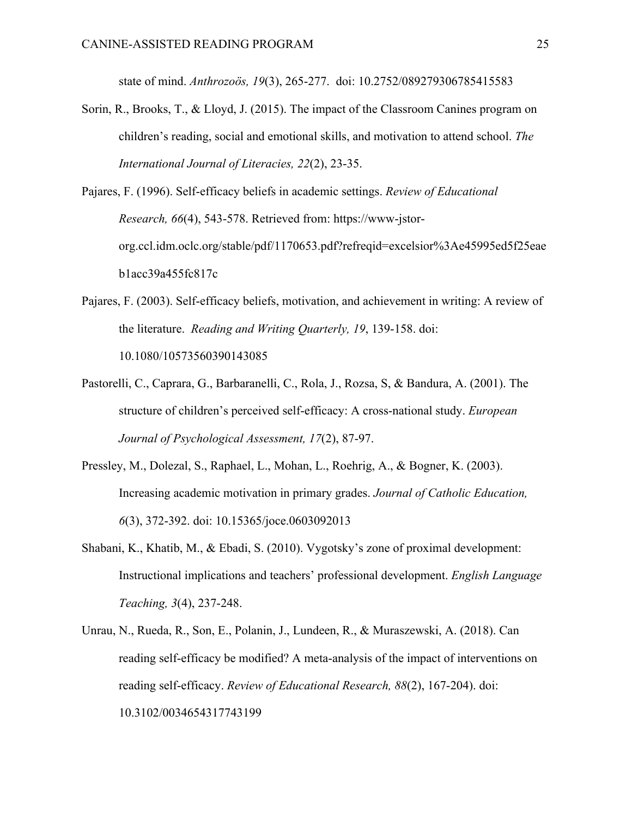state of mind. *Anthrozoös, 19*(3), 265-277. doi: 10.2752/089279306785415583

Sorin, R., Brooks, T., & Lloyd, J. (2015). The impact of the Classroom Canines program on children's reading, social and emotional skills, and motivation to attend school. *The International Journal of Literacies, 22*(2), 23-35.

Pajares, F. (1996). Self-efficacy beliefs in academic settings. *Review of Educational Research, 66*(4), 543-578. Retrieved from: https://www-jstororg.ccl.idm.oclc.org/stable/pdf/1170653.pdf?refreqid=excelsior%3Ae45995ed5f25eae b1acc39a455fc817c

- Pajares, F. (2003). Self-efficacy beliefs, motivation, and achievement in writing: A review of the literature. *Reading and Writing Quarterly, 19*, 139-158. doi: 10.1080/10573560390143085
- Pastorelli, C., Caprara, G., Barbaranelli, C., Rola, J., Rozsa, S, & Bandura, A. (2001). The structure of children's perceived self-efficacy: A cross-national study. *European Journal of Psychological Assessment, 17*(2), 87-97.
- Pressley, M., Dolezal, S., Raphael, L., Mohan, L., Roehrig, A., & Bogner, K. (2003). Increasing academic motivation in primary grades. *Journal of Catholic Education, 6*(3), 372-392. doi: 10.15365/joce.0603092013
- Shabani, K., Khatib, M., & Ebadi, S. (2010). Vygotsky's zone of proximal development: Instructional implications and teachers' professional development. *English Language Teaching, 3*(4), 237-248.
- Unrau, N., Rueda, R., Son, E., Polanin, J., Lundeen, R., & Muraszewski, A. (2018). Can reading self-efficacy be modified? A meta-analysis of the impact of interventions on reading self-efficacy. *Review of Educational Research, 88*(2), 167-204). doi: 10.3102/0034654317743199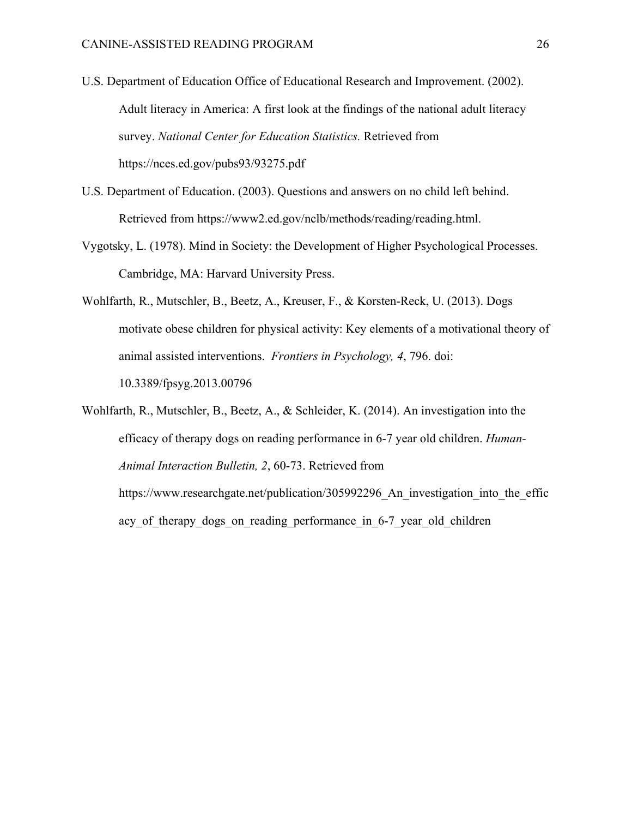- U.S. Department of Education Office of Educational Research and Improvement. (2002). Adult literacy in America: A first look at the findings of the national adult literacy survey. *National Center for Education Statistics.* Retrieved from https://nces.ed.gov/pubs93/93275.pdf
- U.S. Department of Education. (2003). Questions and answers on no child left behind. Retrieved from https://www2.ed.gov/nclb/methods/reading/reading.html.
- Vygotsky, L. (1978). Mind in Society: the Development of Higher Psychological Processes. Cambridge, MA: Harvard University Press.
- Wohlfarth, R., Mutschler, B., Beetz, A., Kreuser, F., & Korsten-Reck, U. (2013). Dogs motivate obese children for physical activity: Key elements of a motivational theory of animal assisted interventions. *Frontiers in Psychology, 4*, 796. doi: 10.3389/fpsyg.2013.00796
- Wohlfarth, R., Mutschler, B., Beetz, A., & Schleider, K. (2014). An investigation into the efficacy of therapy dogs on reading performance in 6-7 year old children. *Human-Animal Interaction Bulletin, 2*, 60-73. Retrieved from https://www.researchgate.net/publication/305992296 An investigation into the effic acy of therapy dogs on reading performance in 6-7 year old children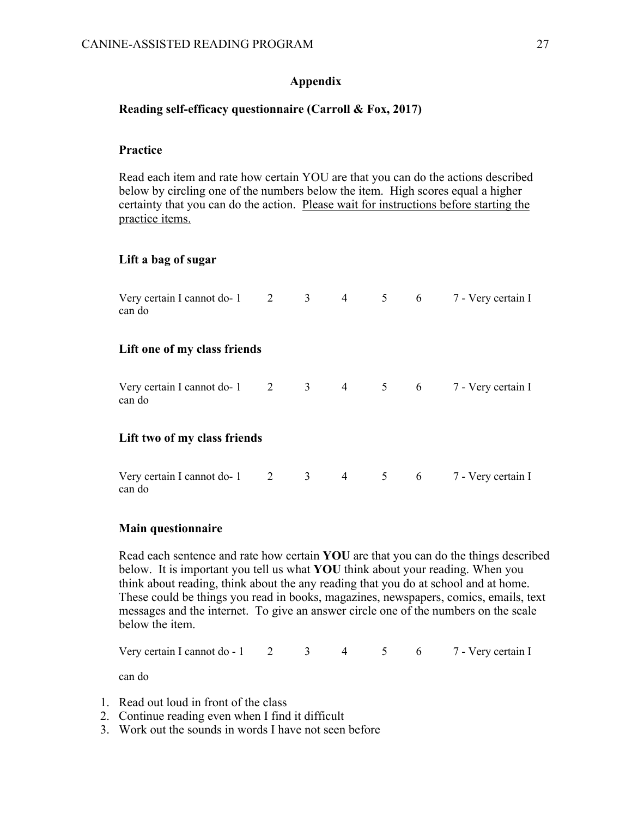## **Appendix**

## **Reading self-efficacy questionnaire (Carroll & Fox, 2017)**

## **Practice**

Read each item and rate how certain YOU are that you can do the actions described below by circling one of the numbers below the item. High scores equal a higher certainty that you can do the action. Please wait for instructions before starting the practice items.

## **Lift a bag of sugar**

| Very certain I cannot do-1 2 3 4 5 6 7 - Very certain I<br>can do             |  |  |  |
|-------------------------------------------------------------------------------|--|--|--|
| Lift one of my class friends                                                  |  |  |  |
| Very certain I cannot do-1 $2 \t3 \t4 \t5 \t6 \t7$ - Very certain I<br>can do |  |  |  |
| Lift two of my class friends                                                  |  |  |  |
| Very certain I cannot do-1 $2 \t3 \t4 \t5 \t6 \t7$ - Very certain I<br>can do |  |  |  |

## **Main questionnaire**

Read each sentence and rate how certain **YOU** are that you can do the things described below. It is important you tell us what **YOU** think about your reading. When you think about reading, think about the any reading that you do at school and at home. These could be things you read in books, magazines, newspapers, comics, emails, text messages and the internet. To give an answer circle one of the numbers on the scale below the item.

Very certain I cannot do  $-1$  2 3 4 5 6 7 - Very certain I can do

- 1. Read out loud in front of the class
- 2. Continue reading even when I find it difficult
- 3. Work out the sounds in words I have not seen before